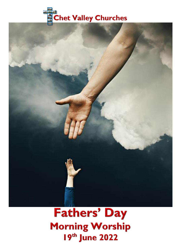



# **Fathers' Day Morning Worship** 19th June 2022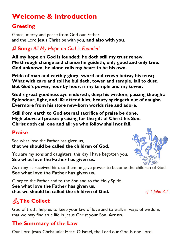# **Welcome & Introduction**

## **Greeting**

Grace, mercy and peace from God our Father and the Lord Jesus Christ be with you, **and also with you.**

#### **♫ Song:** *All My Hope on God is Founded*

**All my hope on God is founded; he doth still my trust renew. Me through change and chance he guideth, only good and only true. God unknown, he alone calls my heart to be his own.**

**Pride of man and earthly glory, sword and crown betray his trust; What with care and toil he buildeth, tower and temple, fall to dust. But God's power, hour by hour, is my temple and my tower.**

**God's great goodness aye endureth, deep his wisdom, passing thought: Splendour, light, and life attend him, beauty springeth out of naught. Evermore from his store new-born worlds rise and adore.**

**Still from earth to God eternal sacrifice of praise be done, High above all praises praising for the gift of Christ his Son. Christ doth call one and all: ye who follow shall not fall.**

#### **Praise**

See what love the Father has given us, **that we should be called the children of God.**

You are my sons and daughters, this day I have begotten you. **See what love the Father has given us.**

As many as received him, to them he gave power to become the children of God. **See what love the Father has given us.**

Glory to the Father and to the Son and to the Holy Spirit. **See what love the Father has given us, that we should be called the children of God.** *cf 1 John 3.1*

# **The Collect**

God of truth, help us to keep your law of love and to walk in ways of wisdom, that we may find true life in Jesus Christ your Son. **Amen.**

## **The Summary of the Law**

Our Lord Jesus Christ said: Hear, O Israel, the Lord our God is one Lord;

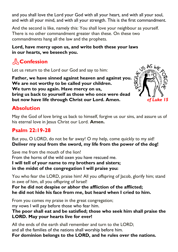and you shall love the Lord your God with all your heart, and with all your soul, and with all your mind, and with all your strength. This is the first commandment.

And the second is like, namely this: You shall love your neighbour as yourself. There is no other commandment greater than these. On these two commandments hang all the law and the prophets.

#### **Lord, have mercy upon us, and write both these your laws in our hearts, we beseech you.**

# **Confession**

Let us return to the Lord our God and say to him:

**Father, we have sinned against heaven and against you. We are not worthy to be called your children. We turn to you again. Have mercy on us, bring us back to yourself as those who once were dead but now have life through Christ our Lord. Amen.** *cf Luke 15*



### **Absolution**

May the God of love bring us back to himself, forgive us our sins, and assure us of his eternal love in Jesus Christ our Lord. **Amen.**

#### **Psalm 22:19-28**

But you, O LORD, do not be far away! O my help, come quickly to my aid! **Deliver my soul from the sword, my life from the power of the dog!**

Save me from the mouth of the lion! From the horns of the wild oxen you have rescued me. **I will tell of your name to my brothers and sisters; in the midst of the congregation I will praise you:**

You who fear the LORD, praise him! All you offspring of Jacob, glorify him; stand in awe of him, all you offspring of Israel!

**For he did not despise or abhor the affliction of the afflicted; he did not hide his face from me, but heard when I cried to him.**

From you comes my praise in the great congregation;

my vows I will pay before those who fear him.

#### **The poor shall eat and be satisfied; those who seek him shall praise the LORD. May your hearts live for ever!**

All the ends of the earth shall remember and turn to the LORD; and all the families of the nations shall worship before him. **For dominion belongs to the LORD, and he rules over the nations.**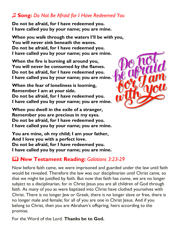#### **♫ Song:** *Do Not Be Afraid for I Have Redeemed You*

**Do not be afraid, for I have redeemed you. I have called you by your name; you are mine.**

**When you walk through the waters I'll be with you, You will never sink beneath the waves. Do not be afraid, for I have redeemed you. I have called you by your name; you are mine.**

**When the fire is burning all around you, You will never be consumed by the flames. Do not be afraid, for I have redeemed you. I have called you by your name; you are mine.**

**When the fear of loneliness is looming, Remember I am at your side. Do not be afraid, for I have redeemed you. I have called you by your name; you are mine.**

**When you dwell in the exile of a stranger, Remember you are precious in my eyes. Do not be afraid, for I have redeemed you. I have called you by your name; you are mine.**

**You are mine, oh my child; I am your father, And I love you with a perfect love. Do not be afraid, for I have redeemed you. I have called you by your name; you are mine.**

## **New Testament Reading:** *Galatians 3:23-29*

Now before faith came, we were imprisoned and guarded under the law until faith would be revealed. Therefore the law was our disciplinarian until Christ came, so that we might be justified by faith. But now that faith has come, we are no longer subject to a disciplinarian, for in Christ Jesus you are all children of God through faith. As many of you as were baptized into Christ have clothed yourselves with Christ. There is no longer lew or Greek, there is no longer slave or free, there is no longer male and female; for all of you are one in Christ Jesus. And if you belong to Christ, then you are Abraham's offspring, heirs according to the promise.

For the Word of the Lord. **Thanks be to God.**

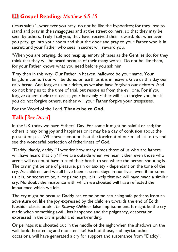## **Gospel Reading:** *Matthew 6:5-15*

(Jesus said:) '...whenever you pray, do not be like the hypocrites; for they love to stand and pray in the synagogues and at the street corners, so that they may be seen by others. Truly I tell you, they have received their reward. But whenever you pray, go into your room and shut the door and pray to your Father who is in secret; and your Father who sees in secret will reward you.

'When you are praying, do not heap up empty phrases as the Gentiles do; for they think that they will be heard because of their many words. Do not be like them, for your Father knows what you need before you ask him.

'Pray then in this way: Our Father in heaven, hallowed be your name. Your kingdom come. Your will be done, on earth as it is in heaven. Give us this day our daily bread. And forgive us our debts, as we also have forgiven our debtors. And do not bring us to the time of trial, but rescue us from the evil one. For if you forgive others their trespasses, your heavenly Father will also forgive you; but if you do not forgive others, neither will your Father forgive your trespasses.

For the Word of the Lord. **Thanks be to God.**

## **Talk [***Rev David***]**

In the UK today we have Fathers' Day. For some it might be painful or sad; for others it may bring joy and happiness or it may be a day of confusion about the present or past. Whichever emotion is at the forefront of our mind let us try and see the wonderful perfection of fatherliness of God.

"Daddy, daddy, daddy!" I wonder how many times those of us who are fathers will have heard that cry? If we are outside when we hear it then even those who aren't will no doubt have turned their heads to see where the person shouting is. The cry might be one of pleasure, pain or anxiety - dependant on the tone of the cry. As children, and we all have been at some stage in our lives, even if for some us it is, or seems to be, a long time ago, it is likely that we will have made a similar cry. No doubt the insistence with which we shouted will have reflected the impatience which we felt.

The cry might be because Daddy has come home returning safe perhaps from an adventure or, like the joy expressed by the children towards the end of Edith Nesbit's classic book: *The Railway Children*, false imprisonment. It might be the cry made when something awful has happened and the poignancy, desperation, expressed in the cry is pitiful and heart-rending.

Or perhaps it is shouted out in the middle of the night when the shadows on the wall look threatening and monster-like! Each of those, and myriad other occasions, will have generated a cry for support and sustenance from "Daddy".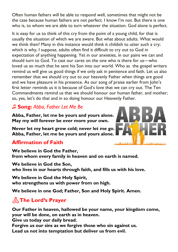Often human fathers will be able to respond well, sometimes that might not be the case because human fathers are not perfect. I know I'm not. But there is one who is, to whom we are able to turn whatever the situation. God alone is perfect.

It is easy for us to think of this cry from the point of a young child, for that is usually the situation of which we are aware. But what about adults. What would we think then? Many in this instance would think it childish to utter such a cry; which is why, I suppose, adults often find it difficult to cry out to God in expectation of anything happening. Yet in our anxieties, in our pains we can and should turn to God. To cast our cares on the one who is there for us—who loved us so much that he sent his Son into our world. Who as the gospel writers remind us will give us good things if we only ask in penitence and faith. Let us also remember that we should cry out to our heavenly Father when things are good and we have pleasure in his presence. As our song of praise earlier from John's first letter reminds us it is because of God's love that we can cry out. The Ten Commandments remind us that we should honour our human father, and mother; so, yes, let's do that and in so doing honour our Heavenly Father.

### **♫ Song:** *Abba, Father Let Me Be*

**Abba, Father, let me be yours and yours alone. May my will forever be ever more your own.**

**Never let my heart grow cold; never let me go. Abba, Father, let me be yours and yours alone.**

## **Affirmation of Faith**

**We believe in God the Father, from whom every family in heaven and on earth is named.**

**We believe in God the Son, who lives in our hearts through faith, and fills us with his love.**

**We believe in God the Holy Spirit, who strengthens us with power from on high.**

**We believe in one God; Father, Son and Holy Spirit. Amen.**

# **The Lord's Prayer**

**Our Father in heaven, hallowed be your name, your kingdom come, your will be done, on earth as in heaven.** 

**Give us today our daily bread.** 

**Forgive us our sins as we forgive those who sin against us. Lead us not into temptation but deliver us from evil.**

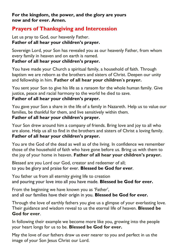#### **For the kingdom, the power, and the glory are yours now and for ever. Amen.**

### **Prayers of Thanksgiving and Intercession**

#### Let us pray to God, our heavenly Father. **Father of all hear your children's prayer.**

Sovereign Lord, your Son has revealed you as our heavenly Father, from whom every family in heaven and on earth is named.

#### **Father of all hear your children's prayer.**

You have made your Church a spiritual family, a household of faith. Through baptism we are reborn as the brothers and sisters of Christ. Deepen our unity and fellowship in him. **Father of all hear your children**'**s prayer.**

You sent your Son to give his life as a ransom for the whole human family. Give justice, peace and racial harmony to the world he died to save.

#### **Father of all hear your children's prayer.**

You gave your Son a share in the life of a family in Nazareth. Help us to value our families, be thankful for them, and live sensitively within them.

#### **Father of all hear your children's prayer.**

Your Son drew around him a company of friends. Bring love and joy to all who are alone. Help us all to find in the brothers and sisters of Christ a loving family. **Father of all hear your children's prayer.**

You are the God of the dead as well as of the living. In confidence we remember those of the household of faith who have gone before us. Bring us with them to the joy of your home in heaven. **Father of all hear your children's prayer.**

Blessed are you Lord our God, creator and redeemer of all; to you be glory and praise for ever. **Blessed be God for ever**.

You father us from all eternity giving life to creation and pouring your love into all you have made. **Blessed be God for ever.**

From the beginning we have known you as 'Father', and all our families have their origin in you. **Blessed be God for ever.**

Through the love of earthly fathers you give us a glimpse of your everlasting love. Their guidance and wisdom reveal to us the eternal life of heaven. **Blessed be God for ever**.

In following their example we become more like you, growing into the people your heart longs for us to be. **Blessed be God for ever.**

May the love of our fathers draw us ever nearer to you and perfect in us the image of your Son Jesus Christ our Lord.